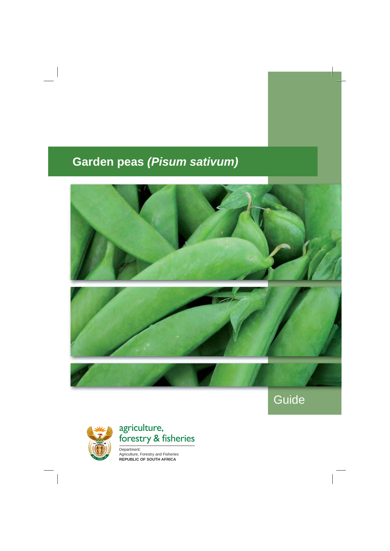# **Garden peas** *(Pisum sativum)*



Guide

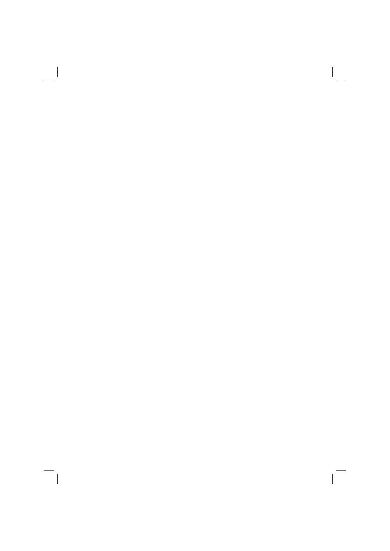$\begin{array}{c} \begin{array}{c} \begin{array}{c} \end{array} \\ \begin{array}{c} \end{array} \end{array} \end{array}$  $\mathbb{R}^3$  .

 $\sim$   $^{-}$  $\overline{\phantom{a}}_1$  .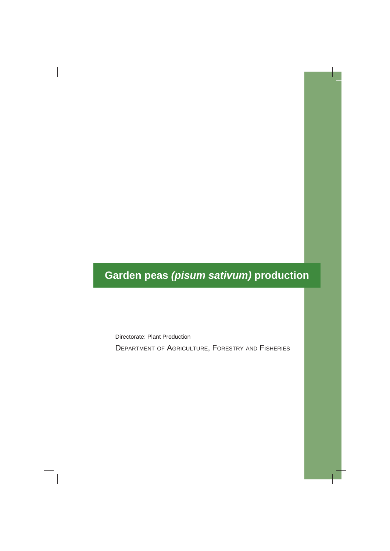# **Garden peas** *(pisum sativum)* **production**

Directorate: Plant Production DEPARTMENT OF AGRICULTURE, FORESTRY AND FISHERIES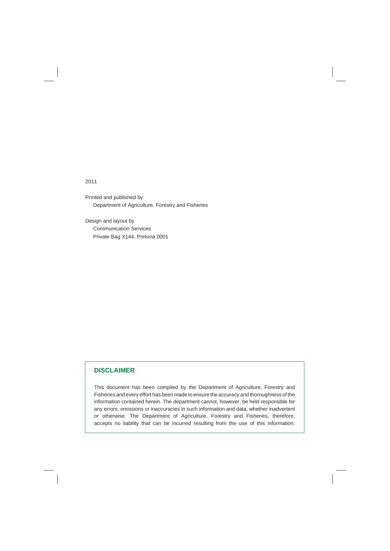## 2011

Printed and published by Department of Agriculture, Forestry and Fisheries

Design and layout by Communication Services Private Bag X144, Pretoria 0001

# **DISCLAIMER**

This document has been compiled by the Department of Agriculture, Forestry and Fisheries and every effort has been made to ensure the accuracy and thoroughness of the information contained herein. The department cannot, however, be held responsible for any errors, omissions or inaccuracies in such information and data, whether inadvertent or otherwise. The Department of Agriculture, Forestry and Fisheries, therefore, accepts no liability that can be incurred resulting from the use of this information.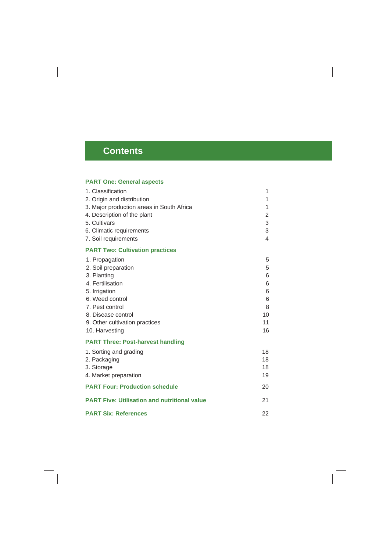# **Contents**

 $\mathcal{L}^{\mathcal{L}}$ 

 $\overline{\phantom{a}}$ 

# **PART One: General aspects**

| 1. Classification                                   | 1                        |
|-----------------------------------------------------|--------------------------|
| 2. Origin and distribution                          | 1                        |
| 3. Major production areas in South Africa           | 1                        |
| 4. Description of the plant                         | $\overline{c}$           |
| 5. Cultivars                                        | 3                        |
| 6. Climatic requirements                            | 3                        |
| 7. Soil requirements                                | $\overline{\mathcal{L}}$ |
| <b>PART Two: Cultivation practices</b>              |                          |
| 1. Propagation                                      | 5                        |
| 2. Soil preparation                                 | 5                        |
| 3. Planting                                         | 6                        |
| 4. Fertilisation                                    | 6                        |
| 5. Irrigation                                       | 6                        |
| 6. Weed control                                     | 6                        |
| 7. Pest control                                     | 8                        |
| 8. Disease control                                  | 10                       |
| 9. Other cultivation practices                      | 11                       |
| 10. Harvesting                                      | 16                       |
| <b>PART Three: Post-harvest handling</b>            |                          |
| 1. Sorting and grading                              | 18                       |
| 2. Packaging                                        | 18                       |
| 3. Storage                                          | 18                       |
| 4. Market preparation                               | 19                       |
| <b>PART Four: Production schedule</b>               | 20                       |
| <b>PART Five: Utilisation and nutritional value</b> | 21                       |
| <b>PART Six: References</b>                         | 22                       |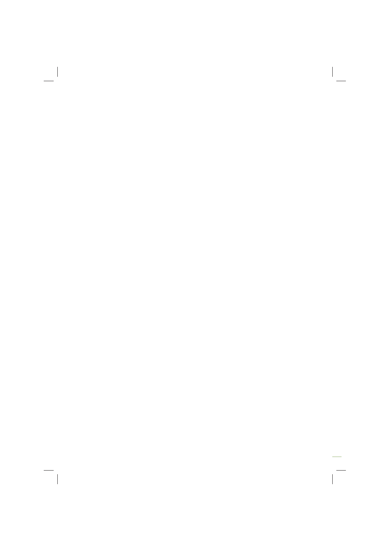$\mathbb{R}^{\mathbb{N}}$  .

 $\frac{1}{\sqrt{1-\frac{1}{2}}}$  $\overline{\phantom{a}}_1$  .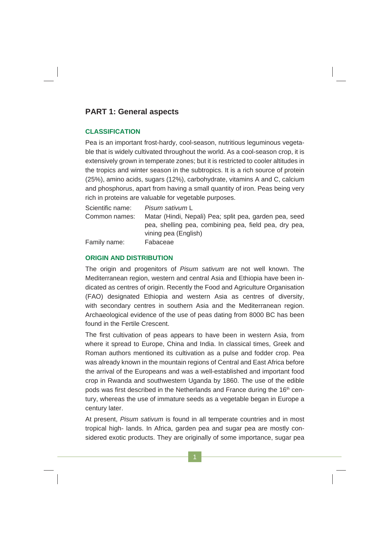# **PART 1: General aspects**

#### **CLASSIFICATION**

Pea is an important frost-hardy, cool-season, nutritious leguminous vegetable that is widely cultivated throughout the world. As a cool-season crop, it is extensively grown in temperate zones; but it is restricted to cooler altitudes in the tropics and winter season in the subtropics. It is a rich source of protein (25%), amino acids, sugars (12%), carbohydrate, vitamins A and C, calcium and phosphorus, apart from having a small quantity of iron. Peas being very rich in proteins are valuable for vegetable purposes.

| Scientific name: | Pisum sativum L                                        |
|------------------|--------------------------------------------------------|
| Common names:    | Matar (Hindi, Nepali) Pea; split pea, garden pea, seed |
|                  | pea, shelling pea, combining pea, field pea, dry pea,  |
|                  | vining pea (English)                                   |
| Family name:     | Fabaceae                                               |

# **ORIGIN AND DISTRIBUTION**

The origin and progenitors of *Pisum sativum* are not well known. The Mediterranean region, western and central Asia and Ethiopia have been indicated as centres of origin. Recently the Food and Agriculture Organisation (FAO) designated Ethiopia and western Asia as centres of diversity, with secondary centres in southern Asia and the Mediterranean region. Archaeological evidence of the use of peas dating from 8000 BC has been found in the Fertile Crescent.

The first cultivation of peas appears to have been in western Asia, from where it spread to Europe, China and India. In classical times, Greek and Roman authors mentioned its cultivation as a pulse and fodder crop. Pea was already known in the mountain regions of Central and East Africa before the arrival of the Europeans and was a well-established and important food crop in Rwanda and southwestern Uganda by 1860. The use of the edible pods was first described in the Netherlands and France during the 16<sup>th</sup> century, whereas the use of immature seeds as a vegetable began in Europe a century later.

At present, *Pisum sativum* is found in all temperate countries and in most tropical high- lands. In Africa, garden pea and sugar pea are mostly considered exotic products. They are originally of some importance, sugar pea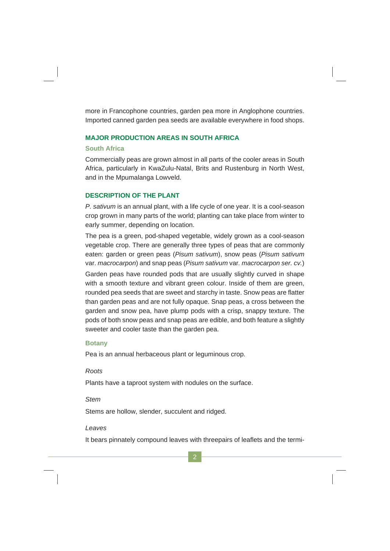more in Francophone countries, garden pea more in Anglophone countries. Imported canned garden pea seeds are available everywhere in food shops.

#### **MAJOR PRODUCTION AREAS IN SOUTH AFRICA**

### **South Africa**

Commercially peas are grown almost in all parts of the cooler areas in South Africa, particularly in KwaZulu-Natal, Brits and Rustenburg in North West, and in the Mpumalanga Lowveld.

#### **DESCRIPTION OF THE PLANT**

*P. sativum* is an annual plant, with a life cycle of one year. It is a cool-season crop grown in many parts of the world; planting can take place from winter to early summer, depending on location.

The pea is a green, pod-shaped vegetable, widely grown as a cool-season vegetable crop. There are generally three types of peas that are commonly eaten: garden or green peas (*Pisum sativum*), snow peas (*Pisum sativum*  var. *macrocarpon*) and snap peas (*Pisum sativum* var*. macrocarpon ser. cv.*)

Garden peas have rounded pods that are usually slightly curved in shape with a smooth texture and vibrant green colour. Inside of them are green, rounded pea seeds that are sweet and starchy in taste. Snow peas are flatter than garden peas and are not fully opaque. Snap peas, a cross between the garden and snow pea, have plump pods with a crisp, snappy texture. The pods of both snow peas and snap peas are edible, and both feature a slightly sweeter and cooler taste than the garden pea.

#### **Botany**

Pea is an annual herbaceous plant or leguminous crop.

#### *Roots*

Plants have a taproot system with nodules on the surface.

#### *Stem*

Stems are hollow, slender, succulent and ridged.

#### *Leaves*

It bears pinnately compound leaves with threepairs of leaflets and the termi-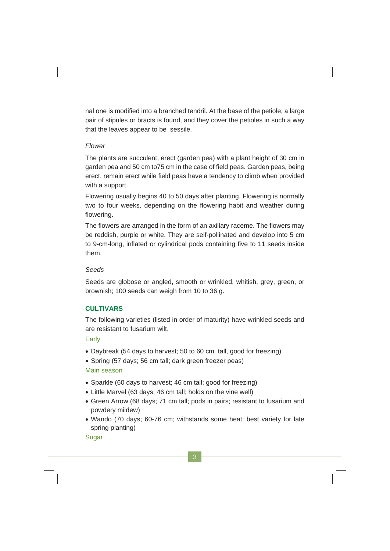nal one is modified into a branched tendril. At the base of the petiole, a large pair of stipules or bracts is found, and they cover the petioles in such a way that the leaves appear to be sessile.

#### *Flower*

The plants are succulent, erect (garden pea) with a plant height of 30 cm in garden pea and 50 cm to 75 cm in the case of field peas. Garden peas, being erect, remain erect while field peas have a tendency to climb when provided with a support.

Flowering usually begins 40 to 50 days after planting. Flowering is normally two to four weeks, depending on the flowering habit and weather during flowering.

The flowers are arranged in the form of an axillary raceme. The flowers may be reddish, purple or white. They are self-pollinated and develop into 5 cm to 9-cm-long, inflated or cylindrical pods containing five to 11 seeds inside them.

#### *Seeds*

Seeds are globose or angled, smooth or wrinkled, whitish, grey, green, or brownish; 100 seeds can weigh from 10 to 36 g.

#### **CULTIVARS**

The following varieties (listed in order of maturity) have wrinkled seeds and are resistant to fusarium wilt.

Early

- Daybreak (54 days to harvest; 50 to 60 cm tall, good for freezing)
- Spring (57 days; 56 cm tall; dark green freezer peas)

# Main season

- Sparkle (60 days to harvest; 46 cm tall; good for freezing)
- Little Marvel (63 days; 46 cm tall; holds on the vine well)
- Green Arrow (68 days; 71 cm tall; pods in pairs; resistant to fusarium and powdery mildew)
- Wando (70 days; 60-76 cm; withstands some heat; best variety for late spring planting)

Sugar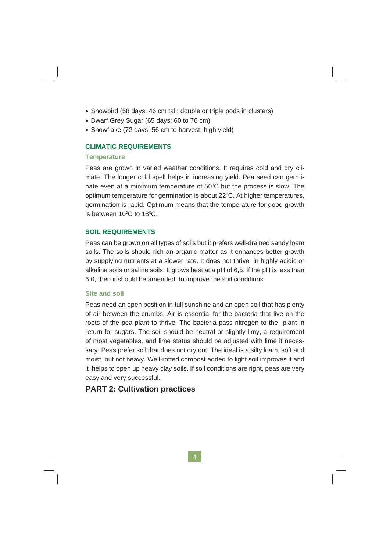- Snowbird (58 days; 46 cm tall; double or triple pods in clusters)
- Dwarf Grey Sugar (65 days; 60 to 76 cm)
- Snowflake (72 days; 56 cm to harvest; high yield)

#### **CLIMATIC REQUIREMENTS**

## **Temperature**

Peas are grown in varied weather conditions. It requires cold and dry climate. The longer cold spell helps in increasing yield. Pea seed can germinate even at a minimum temperature of  $50^{\circ}$ C but the process is slow. The optimum temperature for germination is about 22<sup>o</sup>C. At higher temperatures, germination is rapid. Optimum means that the temperature for good growth is between 10<sup>o</sup>C to 18<sup>o</sup>C.

#### **SOIL REQUIREMENTS**

Peas can be grown on all types of soils but it prefers well-drained sandy loam soils. The soils should rich an organic matter as it enhances better growth by supplying nutrients at a slower rate. It does not thrive in highly acidic or alkaline soils or saline soils. It grows best at a pH of 6,5. If the pH is less than 6,0, then it should be amended to improve the soil conditions.

#### **Site and soil**

Peas need an open position in full sunshine and an open soil that has plenty of air between the crumbs. Air is essential for the bacteria that live on the roots of the pea plant to thrive. The bacteria pass nitrogen to the plant in return for sugars. The soil should be neutral or slightly limy, a requirement of most vegetables, and lime status should be adjusted with lime if necessary. Peas prefer soil that does not dry out. The ideal is a silty loam, soft and moist, but not heavy. Well-rotted compost added to light soil improves it and it helps to open up heavy clay soils. If soil conditions are right, peas are very easy and very successful.

## **PART 2: Cultivation practices**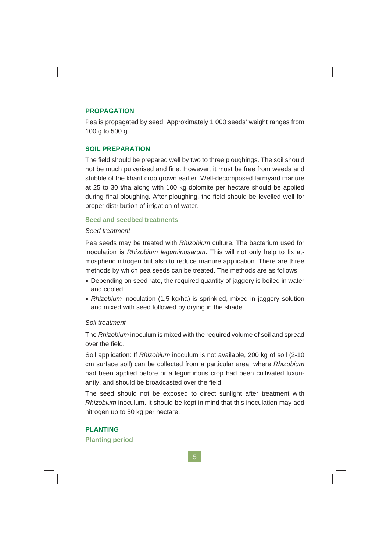# **PROPAGATION**

Pea is propagated by seed. Approximately 1 000 seeds' weight ranges from 100 g to 500 g.

# **SOIL PREPARATION**

The field should be prepared well by two to three ploughings. The soil should not be much pulverised and fine. However, it must be free from weeds and stubble of the kharif crop grown earlier. Well-decomposed farmyard manure at 25 to 30 t/ha along with 100 kg dolomite per hectare should be applied during final ploughing. After ploughing, the field should be levelled well for proper distribution of irrigation of water.

#### **Seed and seedbed treatments**

#### *Seed treatment*

Pea seeds may be treated with *Rhizobium* culture. The bacterium used for inoculation is *Rhizobium leguminosarum*. This will not only help to fix atmospheric nitrogen but also to reduce manure application. There are three methods by which pea seeds can be treated. The methods are as follows:

- Depending on seed rate, the required quantity of jaggery is boiled in water and cooled.
- *Rhizobium* inoculation (1,5 kg/ha) is sprinkled, mixed in jaggery solution and mixed with seed followed by drying in the shade.

#### *Soil treatment*

The *Rhizobium* inoculum is mixed with the required volume of soil and spread over the field.

Soil application: If *Rhizobium* inoculum is not available, 200 kg of soil (2-10 cm surface soil) can be collected from a particular area, where *Rhizobium* had been applied before or a leguminous crop had been cultivated luxuriantly, and should be broadcasted over the field.

The seed should not be exposed to direct sunlight after treatment with *Rhizobium* inoculum. It should be kept in mind that this inoculation may add nitrogen up to 50 kg per hectare.

# **PLANTING**

#### **Planting period**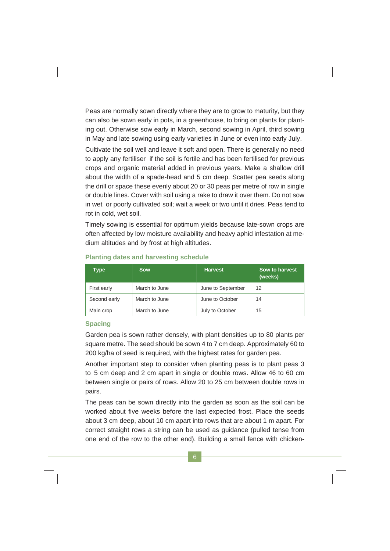Peas are normally sown directly where they are to grow to maturity, but they can also be sown early in pots, in a greenhouse, to bring on plants for planting out. Otherwise sow early in March, second sowing in April, third sowing in May and late sowing using early varieties in June or even into early July.

Cultivate the soil well and leave it soft and open. There is generally no need to apply any fertiliser if the soil is fertile and has been fertilised for previous crops and organic material added in previous years. Make a shallow drill about the width of a spade-head and 5 cm deep. Scatter pea seeds along the drill or space these evenly about 20 or 30 peas per metre of row in single or double lines. Cover with soil using a rake to draw it over them. Do not sow in wet or poorly cultivated soil; wait a week or two until it dries. Peas tend to rot in cold, wet soil.

Timely sowing is essential for optimum yields because late-sown crops are often affected by low moisture availability and heavy aphid infestation at medium altitudes and by frost at high altitudes.

| Type         | Sow.          | <b>Harvest</b>    | Sow to harvest<br>(weeks) |  |  |
|--------------|---------------|-------------------|---------------------------|--|--|
| First early  | March to June | June to September | 12                        |  |  |
| Second early | March to June | June to October   | 14                        |  |  |
| Main crop    | March to June | July to October   | 15                        |  |  |

#### **Planting dates and harvesting schedule**

#### **Spacing**

Garden pea is sown rather densely, with plant densities up to 80 plants per square metre. The seed should be sown 4 to 7 cm deep. Approximately 60 to 200 kg/ha of seed is required, with the highest rates for garden pea.

Another important step to consider when planting peas is to plant peas 3 to 5 cm deep and 2 cm apart in single or double rows. Allow 46 to 60 cm between single or pairs of rows. Allow 20 to 25 cm between double rows in pairs.

The peas can be sown directly into the garden as soon as the soil can be worked about five weeks before the last expected frost. Place the seeds about 3 cm deep, about 10 cm apart into rows that are about 1 m apart. For correct straight rows a string can be used as guidance (pulled tense from one end of the row to the other end). Building a small fence with chicken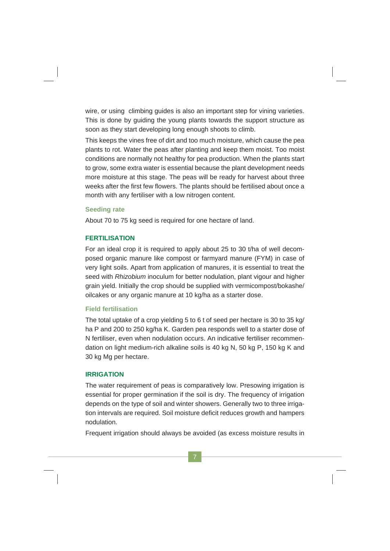wire, or using climbing guides is also an important step for vining varieties. This is done by guiding the young plants towards the support structure as soon as they start developing long enough shoots to climb.

This keeps the vines free of dirt and too much moisture, which cause the pea plants to rot. Water the peas after planting and keep them moist. Too moist conditions are normally not healthy for pea production. When the plants start to grow, some extra water is essential because the plant development needs more moisture at this stage. The peas will be ready for harvest about three weeks after the first few flowers. The plants should be fertilised about once a month with any fertiliser with a low nitrogen content.

#### **Seeding rate**

About 70 to 75 kg seed is required for one hectare of land.

#### **FERTILISATION**

For an ideal crop it is required to apply about 25 to 30 t/ha of well decomposed organic manure like compost or farmyard manure (FYM) in case of very light soils. Apart from application of manures, it is essential to treat the seed with *Rhizobium* inoculum for better nodulation, plant vigour and higher grain yield. Initially the crop should be supplied with vermicompost/bokashe/ oilcakes or any organic manure at 10 kg/ha as a starter dose.

#### **Field fertilisation**

The total uptake of a crop yielding 5 to 6 t of seed per hectare is 30 to 35 kg/ ha P and 200 to 250 kg/ha K. Garden pea responds well to a starter dose of N fertiliser, even when nodulation occurs. An indicative fertiliser recommendation on light medium-rich alkaline soils is 40 kg N, 50 kg P, 150 kg K and 30 kg Mg per hectare.

#### **IRRIGATION**

The water requirement of peas is comparatively low. Presowing irrigation is essential for proper germination if the soil is dry. The frequency of irrigation depends on the type of soil and winter showers. Generally two to three irrigation intervals are required. Soil moisture deficit reduces growth and hampers nodulation.

Frequent irrigation should always be avoided (as excess moisture results in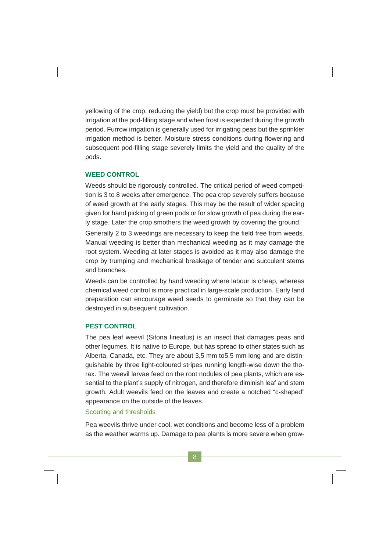yellowing of the crop, reducing the yield) but the crop must be provided with irrigation at the pod-filling stage and when frost is expected during the growth period. Furrow irrigation is generally used for irrigating peas but the sprinkler irrigation method is better. Moisture stress conditions during flowering and subsequent pod-filling stage severely limits the yield and the quality of the pods.

### **WEED CONTROL**

Weeds should be rigorously controlled. The critical period of weed competition is 3 to 8 weeks after emergence. The pea crop severely suffers because of weed growth at the early stages. This may be the result of wider spacing given for hand picking of green pods or for slow growth of pea during the early stage. Later the crop smothers the weed growth by covering the ground.

Generally 2 to 3 weedings are necessary to keep the field free from weeds. Manual weeding is better than mechanical weeding as it may damage the root system. Weeding at later stages is avoided as it may also damage the crop by trumping and mechanical breakage of tender and succulent stems and branches.

Weeds can be controlled by hand weeding where labour is cheap, whereas chemical weed control is more practical in large-scale production. Early land preparation can encourage weed seeds to germinate so that they can be destroyed in subsequent cultivation.

# **PEST CONTROL**

The pea leaf weevil (Sitona lineatus) is an insect that damages peas and other legumes. It is native to Europe, but has spread to other states such as Alberta, Canada, etc. They are about 3,5 mm to5,5 mm long and are distinguishable by three light-coloured stripes running length-wise down the thorax. The weevil larvae feed on the root nodules of pea plants, which are essential to the plant's supply of nitrogen, and therefore diminish leaf and stem growth. Adult weevils feed on the leaves and create a notched "c-shaped" appearance on the outside of the leaves.

# Scouting and thresholds

Pea weevils thrive under cool, wet conditions and become less of a problem as the weather warms up. Damage to pea plants is more severe when grow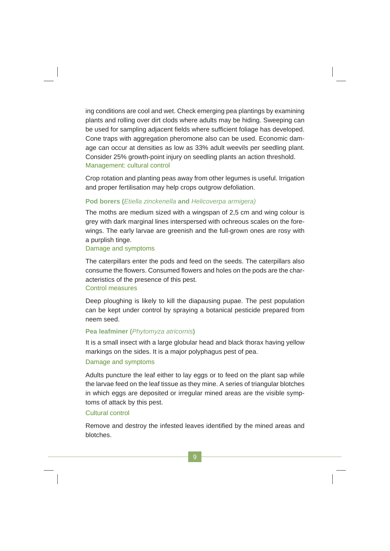ing conditions are cool and wet. Check emerging pea plantings by examining plants and rolling over dirt clods where adults may be hiding. Sweeping can be used for sampling adjacent fields where sufficient foliage has developed. Cone traps with aggregation pheromone also can be used. Economic damage can occur at densities as low as 33% adult weevils per seedling plant. Consider 25% growth-point injury on seedling plants an action threshold. Management: cultural control

Crop rotation and planting peas away from other legumes is useful. Irrigation and proper fertilisation may help crops outgrow defoliation.

### **Pod borers (***Etiella zinckenella* **and** *Helicoverpa armigera)*

The moths are medium sized with a wingspan of 2,5 cm and wing colour is grey with dark marginal lines interspersed with ochreous scales on the forewings. The early larvae are greenish and the full-grown ones are rosy with a purplish tinge.

### Damage and symptoms

The caterpillars enter the pods and feed on the seeds. The caterpillars also consume the flowers. Consumed flowers and holes on the pods are the characteristics of the presence of this pest.

## Control measures

Deep ploughing is likely to kill the diapausing pupae. The pest population can be kept under control by spraying a botanical pesticide prepared from neem seed.

#### **Pea leafminer (***Phytomyza atricornis***)**

It is a small insect with a large globular head and black thorax having yellow markings on the sides. It is a major polyphagus pest of pea.

# Damage and symptoms

Adults puncture the leaf either to lay eggs or to feed on the plant sap while the larvae feed on the leaf tissue as they mine. A series of triangular blotches in which eggs are deposited or irregular mined areas are the visible symptoms of attack by this pest.

# Cultural control

Remove and destroy the infested leaves identified by the mined areas and blotches.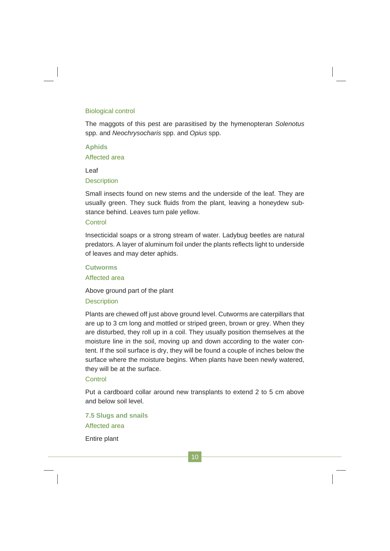# Biological control

The maggots of this pest are parasitised by the hymenopteran *Solenotus* spp. and *Neochrysocharis* spp. and *Opius* spp.

# **Aphids**

Affected area

Leaf

# **Description**

Small insects found on new stems and the underside of the leaf. They are usually green. They suck fluids from the plant, leaving a honeydew substance behind. Leaves turn pale yellow.

#### **Control**

Insecticidal soaps or a strong stream of water. Ladybug beetles are natural predators. A layer of aluminum foil under the plants reflects light to underside of leaves and may deter aphids.

#### **Cutworms**

Affected area

Above ground part of the plant

# **Description**

Plants are chewed off just above ground level. Cutworms are caterpillars that are up to 3 cm long and mottled or striped green, brown or grey. When they are disturbed, they roll up in a coil. They usually position themselves at the moisture line in the soil, moving up and down according to the water content. If the soil surface is dry, they will be found a couple of inches below the surface where the moisture begins. When plants have been newly watered, they will be at the surface.

#### **Control**

Put a cardboard collar around new transplants to extend 2 to 5 cm above and below soil level.

**7.5 Slugs and snails** Affected area

Entire plant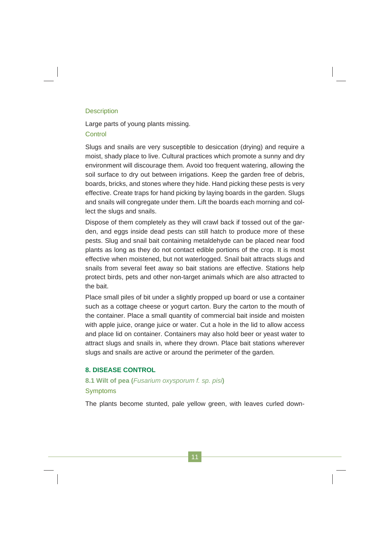#### **Description**

Large parts of young plants missing. Control

Slugs and snails are very susceptible to desiccation (drying) and require a moist, shady place to live. Cultural practices which promote a sunny and dry environment will discourage them. Avoid too frequent watering, allowing the soil surface to dry out between irrigations. Keep the garden free of debris, boards, bricks, and stones where they hide. Hand picking these pests is very effective. Create traps for hand picking by laying boards in the garden. Slugs and snails will congregate under them. Lift the boards each morning and collect the slugs and snails.

Dispose of them completely as they will crawl back if tossed out of the garden, and eggs inside dead pests can still hatch to produce more of these pests. Slug and snail bait containing metaldehyde can be placed near food plants as long as they do not contact edible portions of the crop. It is most effective when moistened, but not waterlogged. Snail bait attracts slugs and snails from several feet away so bait stations are effective. Stations help protect birds, pets and other non-target animals which are also attracted to the bait.

Place small piles of bit under a slightly propped up board or use a container such as a cottage cheese or yogurt carton. Bury the carton to the mouth of the container. Place a small quantity of commercial bait inside and moisten with apple juice, orange juice or water. Cut a hole in the lid to allow access and place lid on container. Containers may also hold beer or yeast water to attract slugs and snails in, where they drown. Place bait stations wherever slugs and snails are active or around the perimeter of the garden.

# **8. DISEASE CONTROL**

# **8.1 Wilt of pea (***Fusarium oxysporum f. sp. pisi***)** Symptoms

The plants become stunted, pale yellow green, with leaves curled down-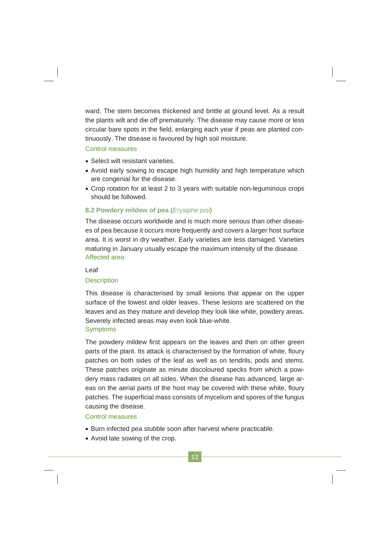ward. The stem becomes thickened and brittle at ground level. As a result the plants wilt and die off prematurely. The disease may cause more or less circular bare spots in the field, enlarging each year if peas are planted continuously. The disease is favoured by high soil moisture.

# Control measures

- Select wilt resistant varieties.
- Avoid early sowing to escape high humidity and high temperature which are congenial for the disease.
- Crop rotation for at least 2 to 3 years with suitable non-leguminous crops should be followed.

#### **8.2 Powdery mildew of pea (***Erysiphe pisi***)**

The disease occurs worldwide and is much more serious than other diseases of pea because it occurs more frequently and covers a larger host surface area. It is worst in dry weather. Early varieties are less damaged. Varieties maturing in January usually escape the maximum intensity of the disease. Affected area

Leaf

#### **Description**

This disease is characterised by small lesions that appear on the upper surface of the lowest and older leaves. These lesions are scattered on the leaves and as they mature and develop they look like white, powdery areas. Severely infected areas may even look blue-white.

# Symptoms

The powdery mildew first appears on the leaves and then on other green parts of the plant. Its attack is characterised by the formation of white, floury patches on both sides of the leaf as well as on tendrils, pods and stems. These patches originate as minute discoloured specks from which a powdery mass radiates on all sides. When the disease has advanced, large areas on the aerial parts of the host may be covered with these white, floury patches. The superficial mass consists of mycelium and spores of the fungus causing the disease.

#### Control measures

- Burn infected pea stubble soon after harvest where practicable.
- Avoid late sowing of the crop.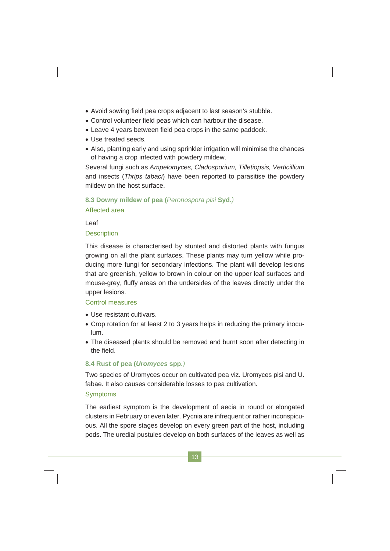- Avoid sowing field pea crops adjacent to last season's stubble.
- Control volunteer field peas which can harbour the disease.
- Leave 4 years between field pea crops in the same paddock.
- Use treated seeds.
- Also, planting early and using sprinkler irrigation will minimise the chances of having a crop infected with powdery mildew.

Several fungi such as *Ampelomyces, Cladosporium, Tilletiopsis, Verticillium* and insects (*Thrips tabaci*) have been reported to parasitise the powdery mildew on the host surface.

**8.3 Downy mildew of pea (***Peronospora pisi* **Syd***.)* Affected area

Leaf

#### **Description**

This disease is characterised by stunted and distorted plants with fungus growing on all the plant surfaces. These plants may turn yellow while producing more fungi for secondary infections. The plant will develop lesions that are greenish, yellow to brown in colour on the upper leaf surfaces and mouse-grey, fluffy areas on the undersides of the leaves directly under the upper lesions.

#### Control measures

- Use resistant cultivars.
- Crop rotation for at least 2 to 3 years helps in reducing the primary inoculum.
- The diseased plants should be removed and burnt soon after detecting in the field.

#### **8.4 Rust of pea (***Uromyces* **spp***.)*

Two species of Uromyces occur on cultivated pea viz. Uromyces pisi and U. fabae. It also causes considerable losses to pea cultivation.

#### Symptoms

The earliest symptom is the development of aecia in round or elongated clusters in February or even later. Pycnia are infrequent or rather inconspicuous. All the spore stages develop on every green part of the host, including pods. The uredial pustules develop on both surfaces of the leaves as well as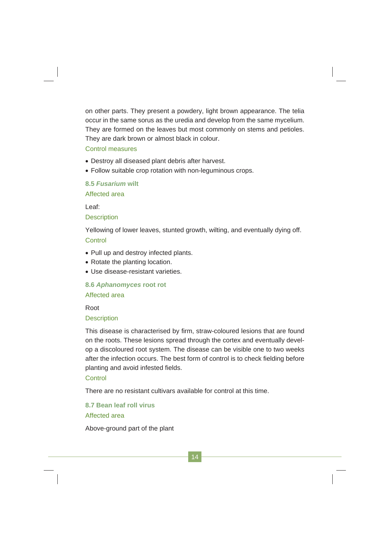on other parts. They present a powdery, light brown appearance. The telia occur in the same sorus as the uredia and develop from the same mycelium. They are formed on the leaves but most commonly on stems and petioles. They are dark brown or almost black in colour.

# Control measures

- Destroy all diseased plant debris after harvest.
- Follow suitable crop rotation with non-leguminous crops.

**8.5** *Fusarium* **wilt**

Affected area

Leaf:

#### **Description**

Yellowing of lower leaves, stunted growth, wilting, and eventually dying off.

# **Control**

- Pull up and destroy infected plants.
- Rotate the planting location.
- Use disease-resistant varieties.

# **8.6** *Aphanomyces* **root rot**

Affected area

Root

# **Description**

This disease is characterised by firm, straw-coloured lesions that are found on the roots. These lesions spread through the cortex and eventually develop a discoloured root system. The disease can be visible one to two weeks after the infection occurs. The best form of control is to check fielding before planting and avoid infested fields.

# **Control**

There are no resistant cultivars available for control at this time.

# **8.7 Bean leaf roll virus**

# Affected area

Above-ground part of the plant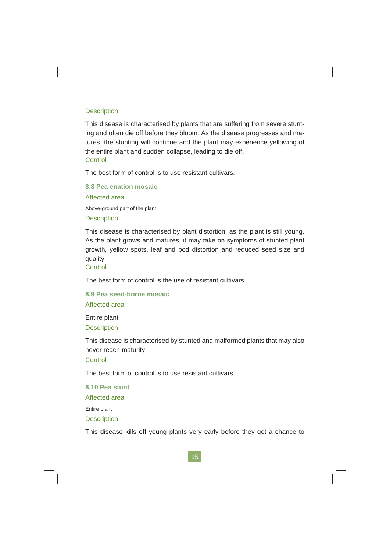# **Description**

This disease is characterised by plants that are suffering from severe stunting and often die off before they bloom. As the disease progresses and matures, the stunting will continue and the plant may experience yellowing of the entire plant and sudden collapse, leading to die off. **Control** 

The best form of control is to use resistant cultivars.

**8.8 Pea enation mosaic** Affected area

Above-ground part of the plant

**Description** 

This disease is characterised by plant distortion, as the plant is still young. As the plant grows and matures, it may take on symptoms of stunted plant growth, yellow spots, leaf and pod distortion and reduced seed size and

quality. **Control** 

The best form of control is the use of resistant cultivars.

**8.9 Pea seed-borne mosaic**

Affected area

Entire plant

**Description** 

This disease is characterised by stunted and malformed plants that may also never reach maturity.

**Control** 

The best form of control is to use resistant cultivars.

**8.10 Pea stunt**

Affected area

Entire plant

**Description** 

This disease kills off young plants very early before they get a chance to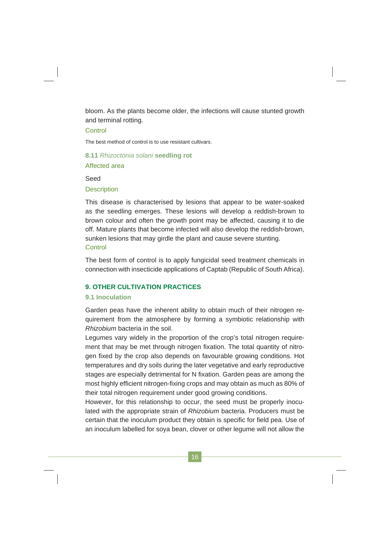bloom. As the plants become older, the infections will cause stunted growth and terminal rotting.

#### **Control**

The best method of control is to use resistant cultivars.

**8.11** *Rhizoctonia solani* **seedling rot**

Affected area

Seed

**Description** 

This disease is characterised by lesions that appear to be water-soaked as the seedling emerges. These lesions will develop a reddish-brown to brown colour and often the growth point may be affected, causing it to die off. Mature plants that become infected will also develop the reddish-brown, sunken lesions that may girdle the plant and cause severe stunting. **Control** 

The best form of control is to apply fungicidal seed treatment chemicals in connection with insecticide applications of Captab (Republic of South Africa).

# **9. OTHER CULTIVATION PRACTICES**

# **9.1 Inoculation**

Garden peas have the inherent ability to obtain much of their nitrogen requirement from the atmosphere by forming a symbiotic relationship with *Rhizobium* bacteria in the soil.

Legumes vary widely in the proportion of the crop's total nitrogen requirement that may be met through nitrogen fixation. The total quantity of nitrogen fixed by the crop also depends on favourable growing conditions. Hot temperatures and dry soils during the later vegetative and early reproductive stages are especially detrimental for N fixation. Garden peas are among the most highly efficient nitrogen-fixing crops and may obtain as much as 80% of their total nitrogen requirement under good growing conditions.

However, for this relationship to occur, the seed must be properly inoculated with the appropriate strain of *Rhizobium* bacteria. Producers must be certain that the inoculum product they obtain is specific for field pea. Use of an inoculum labelled for soya bean, clover or other legume will not allow the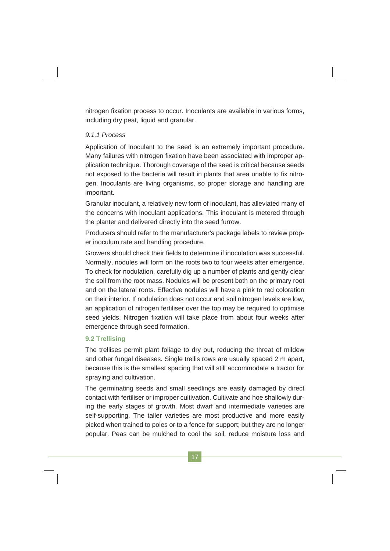nitrogen fixation process to occur. Inoculants are available in various forms, including dry peat, liquid and granular.

#### *9.1.1 Process*

Application of inoculant to the seed is an extremely important procedure. Many failures with nitrogen fixation have been associated with improper application technique. Thorough coverage of the seed is critical because seeds not exposed to the bacteria will result in plants that area unable to fix nitrogen. Inoculants are living organisms, so proper storage and handling are important.

Granular inoculant, a relatively new form of inoculant, has alleviated many of the concerns with inoculant applications. This inoculant is metered through the planter and delivered directly into the seed furrow.

Producers should refer to the manufacturer's package labels to review proper inoculum rate and handling procedure.

Growers should check their fields to determine if inoculation was successful. Normally, nodules will form on the roots two to four weeks after emergence. To check for nodulation, carefully dig up a number of plants and gently clear the soil from the root mass. Nodules will be present both on the primary root and on the lateral roots. Effective nodules will have a pink to red coloration on their interior. If nodulation does not occur and soil nitrogen levels are low, an application of nitrogen fertiliser over the top may be required to optimise seed yields. Nitrogen fixation will take place from about four weeks after emergence through seed formation.

#### **9.2 Trellising**

The trellises permit plant foliage to dry out, reducing the threat of mildew and other fungal diseases. Single trellis rows are usually spaced 2 m apart, because this is the smallest spacing that will still accommodate a tractor for spraying and cultivation.

The germinating seeds and small seedlings are easily damaged by direct contact with fertiliser or improper cultivation. Cultivate and hoe shallowly during the early stages of growth. Most dwarf and intermediate varieties are self-supporting. The taller varieties are most productive and more easily picked when trained to poles or to a fence for support; but they are no longer popular. Peas can be mulched to cool the soil, reduce moisture loss and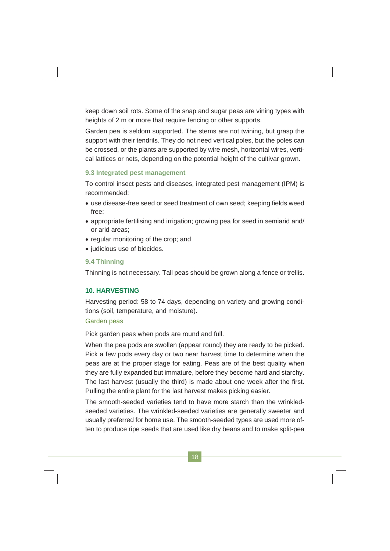keep down soil rots. Some of the snap and sugar peas are vining types with heights of 2 m or more that require fencing or other supports.

Garden pea is seldom supported. The stems are not twining, but grasp the support with their tendrils. They do not need vertical poles, but the poles can be crossed, or the plants are supported by wire mesh, horizontal wires, vertical lattices or nets, depending on the potential height of the cultivar grown.

#### **9.3 Integrated pest management**

To control insect pests and diseases, integrated pest management (IPM) is recommended:

- use disease-free seed or seed treatment of own seed; keeping fields weed free;
- appropriate fertilising and irrigation; growing pea for seed in semiarid and/ or arid areas;
- regular monitoring of the crop; and
- judicious use of biocides.

## **9.4 Thinning**

Thinning is not necessary. Tall peas should be grown along a fence or trellis.

# **10. HARVESTING**

Harvesting period: 58 to 74 days, depending on variety and growing conditions (soil, temperature, and moisture).

# Garden peas

Pick garden peas when pods are round and full.

When the pea pods are swollen (appear round) they are ready to be picked. Pick a few pods every day or two near harvest time to determine when the peas are at the proper stage for eating. Peas are of the best quality when they are fully expanded but immature, before they become hard and starchy. The last harvest (usually the third) is made about one week after the first. Pulling the entire plant for the last harvest makes picking easier.

The smooth-seeded varieties tend to have more starch than the wrinkledseeded varieties. The wrinkled-seeded varieties are generally sweeter and usually preferred for home use. The smooth-seeded types are used more often to produce ripe seeds that are used like dry beans and to make split-pea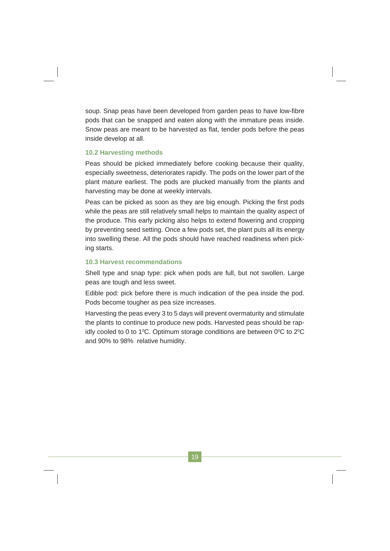soup. Snap peas have been developed from garden peas to have low-fibre pods that can be snapped and eaten along with the immature peas inside. Snow peas are meant to be harvested as flat, tender pods before the peas inside develop at all.

#### **10.2 Harvesting methods**

Peas should be picked immediately before cooking because their quality, especially sweetness, deteriorates rapidly. The pods on the lower part of the plant mature earliest. The pods are plucked manually from the plants and harvesting may be done at weekly intervals.

Peas can be picked as soon as they are big enough. Picking the first pods while the peas are still relatively small helps to maintain the quality aspect of the produce. This early picking also helps to extend flowering and cropping by preventing seed setting. Once a few pods set, the plant puts all its energy into swelling these. All the pods should have reached readiness when picking starts.

#### **10.3 Harvest recommendations**

Shell type and snap type: pick when pods are full, but not swollen. Large peas are tough and less sweet.

Edible pod: pick before there is much indication of the pea inside the pod. Pods become tougher as pea size increases.

Harvesting the peas every 3 to 5 days will prevent overmaturity and stimulate the plants to continue to produce new pods. Harvested peas should be rapidly cooled to 0 to 1°C. Optimum storage conditions are between 0°C to 2°C and 90% to 98% relative humidity.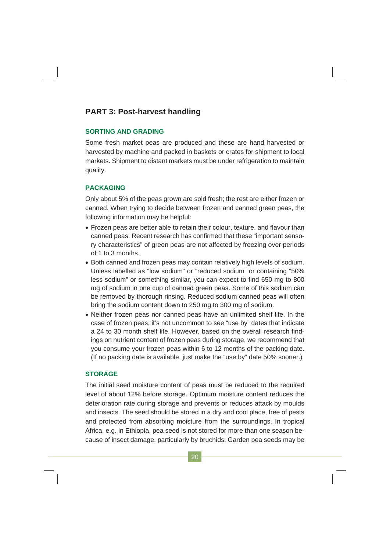# **PART 3: Post-harvest handling**

## **SORTING AND GRADING**

Some fresh market peas are produced and these are hand harvested or harvested by machine and packed in baskets or crates for shipment to local markets. Shipment to distant markets must be under refrigeration to maintain quality.

# **PACKAGING**

Only about 5% of the peas grown are sold fresh; the rest are either frozen or canned. When trying to decide between frozen and canned green peas, the following information may be helpful:

- Frozen peas are better able to retain their colour, texture, and flavour than canned peas. Recent research has confirmed that these "important sensory characteristics" of green peas are not affected by freezing over periods of 1 to 3 months.
- Both canned and frozen peas may contain relatively high levels of sodium. Unless labelled as "low sodium" or "reduced sodium" or containing "50% less sodium" or something similar, you can expect to find 650 mg to 800 mg of sodium in one cup of canned green peas. Some of this sodium can be removed by thorough rinsing. Reduced sodium canned peas will often bring the sodium content down to 250 mg to 300 mg of sodium.
- Neither frozen peas nor canned peas have an unlimited shelf life. In the case of frozen peas, it's not uncommon to see "use by" dates that indicate a 24 to 30 month shelf life. However, based on the overall research findings on nutrient content of frozen peas during storage, we recommend that you consume your frozen peas within 6 to 12 months of the packing date. (If no packing date is available, just make the "use by" date 50% sooner.)

# **STORAGE**

The initial seed moisture content of peas must be reduced to the required level of about 12% before storage. Optimum moisture content reduces the deterioration rate during storage and prevents or reduces attack by moulds and insects. The seed should be stored in a dry and cool place, free of pests and protected from absorbing moisture from the surroundings. In tropical Africa, e.g. in Ethiopia, pea seed is not stored for more than one season because of insect damage, particularly by bruchids. Garden pea seeds may be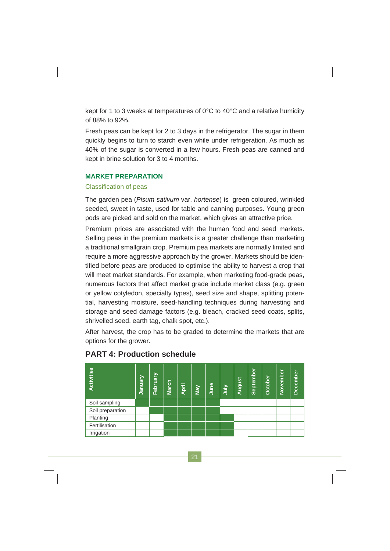kept for 1 to 3 weeks at temperatures of 0°C to 40°C and a relative humidity of 88% to 92%.

Fresh peas can be kept for 2 to 3 days in the refrigerator. The sugar in them quickly begins to turn to starch even while under refrigeration. As much as 40% of the sugar is converted in a few hours. Fresh peas are canned and kept in brine solution for 3 to 4 months.

## **MARKET PREPARATION**

#### Classification of peas

The garden pea (*Pisum sativum* var. *hortense*) is green coloured, wrinkled seeded, sweet in taste, used for table and canning purposes. Young green pods are picked and sold on the market, which gives an attractive price.

Premium prices are associated with the human food and seed markets. Selling peas in the premium markets is a greater challenge than marketing a traditional smallgrain crop. Premium pea markets are normally limited and require a more aggressive approach by the grower. Markets should be identified before peas are produced to optimise the ability to harvest a crop that will meet market standards. For example, when marketing food-grade peas, numerous factors that affect market grade include market class (e.g. green or yellow cotyledon, specialty types), seed size and shape, splitting potential, harvesting moisture, seed-handling techniques during harvesting and storage and seed damage factors (e.g. bleach, cracked seed coats, splits, shrivelled seed, earth tag, chalk spot, etc.).

After harvest, the crop has to be graded to determine the markets that are options for the grower.



#### **PART 4: Production schedule**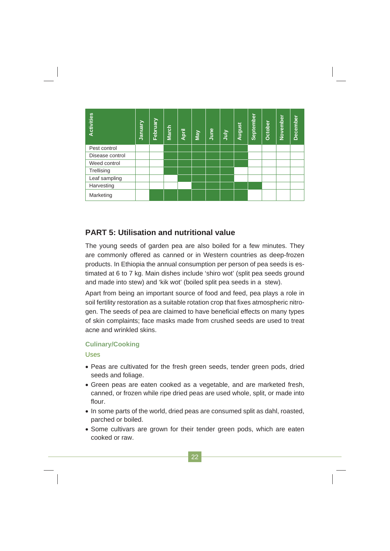| <b>Activities</b> | Vanuary | February | <b>March</b> | April | Nay | June | $\frac{d}{d}$ | August | September | <b>October</b> | November | <b>December</b> |
|-------------------|---------|----------|--------------|-------|-----|------|---------------|--------|-----------|----------------|----------|-----------------|
| Pest control      |         |          |              |       |     |      |               |        |           |                |          |                 |
| Disease control   |         |          |              |       |     |      |               |        |           |                |          |                 |
| Weed control      |         |          |              |       |     |      |               |        |           |                |          |                 |
| Trellising        |         |          |              |       |     |      |               |        |           |                |          |                 |
| Leaf sampling     |         |          |              |       |     |      |               |        |           |                |          |                 |
| Harvesting        |         |          |              |       |     |      |               |        |           |                |          |                 |
| Marketing         |         |          |              |       |     |      |               |        |           |                |          |                 |

# **PART 5: Utilisation and nutritional value**

The young seeds of garden pea are also boiled for a few minutes. They are commonly offered as canned or in Western countries as deep-frozen products. In Ethiopia the annual consumption per person of pea seeds is estimated at 6 to 7 kg. Main dishes include 'shiro wot' (split pea seeds ground and made into stew) and 'kik wot' (boiled split pea seeds in a stew).

Apart from being an important source of food and feed, pea plays a role in soil fertility restoration as a suitable rotation crop that fixes atmospheric nitrogen. The seeds of pea are claimed to have beneficial effects on many types of skin complaints; face masks made from crushed seeds are used to treat acne and wrinkled skins.

# **Culinary/Cooking**

Uses

- Peas are cultivated for the fresh green seeds, tender green pods, dried seeds and foliage.
- Green peas are eaten cooked as a vegetable, and are marketed fresh, canned, or frozen while ripe dried peas are used whole, split, or made into flour.
- In some parts of the world, dried peas are consumed split as dahl, roasted, parched or boiled.
- Some cultivars are grown for their tender green pods, which are eaten cooked or raw.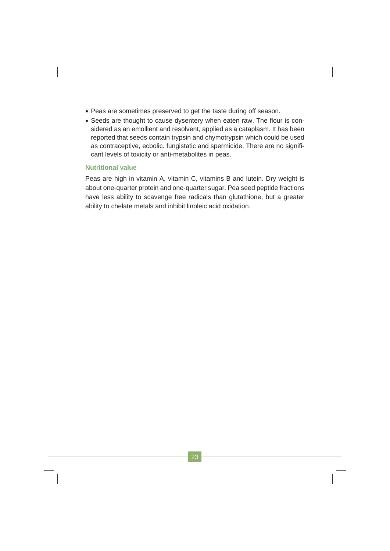- Peas are sometimes preserved to get the taste during off season.
- Seeds are thought to cause dysentery when eaten raw. The flour is considered as an emollient and resolvent, applied as a cataplasm. It has been reported that seeds contain trypsin and chymotrypsin which could be used as contraceptive, ecbolic. fungistatic and spermicide. There are no significant levels of toxicity or anti-metabolites in peas.

#### **Nutritional value**

Peas are high in vitamin A, vitamin C, vitamins B and lutein. Dry weight is about one-quarter protein and one-quarter sugar. Pea seed peptide fractions have less ability to scavenge free radicals than glutathione, but a greater ability to chelate metals and inhibit linoleic acid oxidation.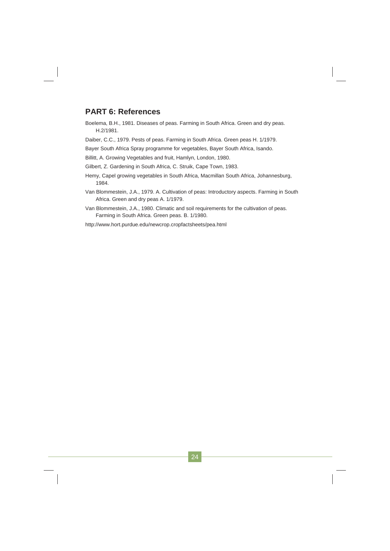# **PART 6: References**

Boelema, B.H., 1981. Diseases of peas. Farming in South Africa. Green and dry peas. H.2/1981.

Daiber, C.C., 1979. Pests of peas. Farming in South Africa. Green peas H. 1/1979.

Bayer South Africa Spray programme for vegetables, Bayer South Africa, Isando.

Billitt, A. Growing Vegetables and fruit, Hamlyn, London, 1980.

Gilbert, Z. Gardening in South Africa, C. Struik, Cape Town, 1983.

- Hemy, Capel growing vegetables in South Africa, Macmillan South Africa, Johannesburg, 1984.
- Van Blommestein, J.A., 1979. A. Cultivation of peas: Introductory aspects. Farming in South Africa. Green and dry peas A. 1/1979.
- Van Blommestein, J.A., 1980. Climatic and soil requirements for the cultivation of peas. Farming in South Africa. Green peas. B. 1/1980.

http://www.hort.purdue.edu/newcrop.cropfactsheets/pea.html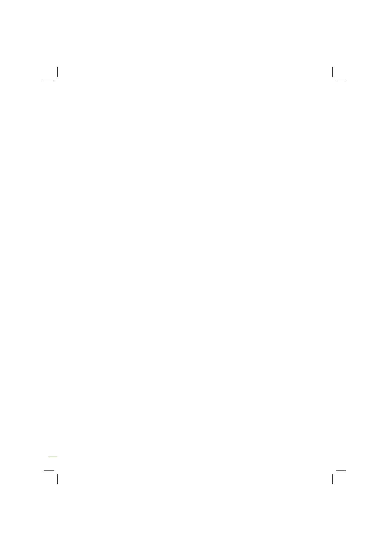$\begin{array}{c} \begin{array}{c} \begin{array}{c} \begin{array}{c} \end{array} \\ \begin{array}{c} \end{array} \end{array} \end{array} \end{array}$  $\mathbb{Z}^{\mathbb{N}}$  .

 $\frac{1}{\sqrt{2}}$  $\sim$   $^{-}$